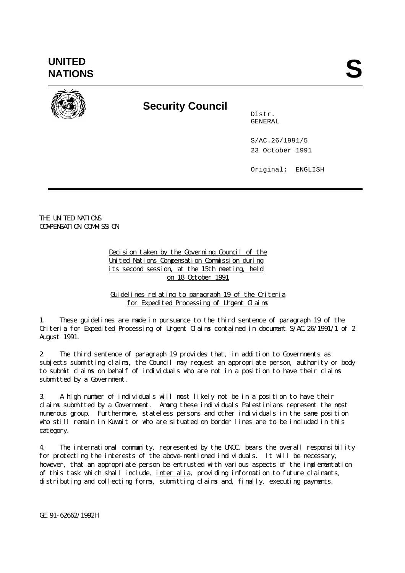**UNITED** UNITED<br>NATIONS



## **Security Council**

Distr. GENERAL

S/AC.26/1991/5 23 October 1991

Original: ENGLISH

THE UNITED NATIONS COMPENSATION COMMISSION

> Decision taken by the Governing Council of the United Nations Compensation Commission during its second session, at the 15th meeting, held on 18 October 1991

Guidelines relating to paragraph 19 of the Criteria for Expedited Processing of Urgent Claims

1. These guidelines are made in pursuance to the third sentence of paragraph 19 of the Criteria for Expedited Processing of Urgent Claims contained in document S/AC.26/1991/1 of 2 August 1991.

2. The third sentence of paragraph 19 provides that, in addition to Governments as subjects submitting claims, the Council may request an appropriate person, authority or body to submit claims on behalf of individuals who are not in a position to have their claims submitted by a Government.

3. A high number of individuals will most likely not be in a position to have their claims submitted by a Government. Among these individuals Palestinians represent the most numerous group. Furthermore, stateless persons and other individuals in the same position who still remain in Kuwait or who are situated on border lines are to be included in this category.

4. The international community, represented by the UNCC, bears the overall responsibility for protecting the interests of the above-mentioned individuals. It will be necessary, however, that an appropriate person be entrusted with various aspects of the implementation of this task which shall include, inter alia, providing information to future claimants, distributing and collecting forms, submitting claims and, finally, executing payments.

GE.91-62662/1992H